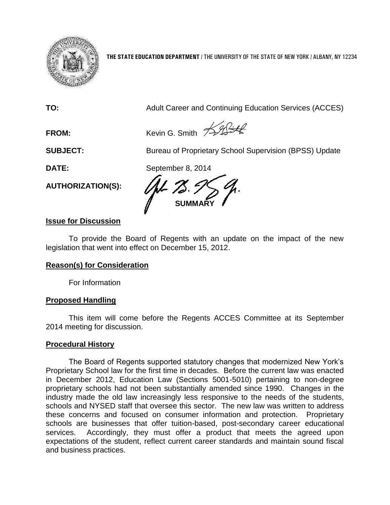

**THE STATE EDUCATION DEPARTMENT** / THE UNIVERSITY OF THE STATE OF NEW YORK / ALBANY, NY 12234

**TO:** Adult Career and Continuing Education Services (ACCES)

FROM: Kevin G. Smith  $\frac{1}{2}$ 

**SUBJECT:** Bureau of Proprietary School Supervision (BPSS) Update

**DATE:** September 8, 2014

**AUTHORIZATION(S):**

**SUMMARY**

## **Issue for Discussion**

To provide the Board of Regents with an update on the impact of the new legislation that went into effect on December 15, 2012.

# **Reason(s) for Consideration**

For Information

## **Proposed Handling**

This item will come before the Regents ACCES Committee at its September 2014 meeting for discussion.

## **Procedural History**

The Board of Regents supported statutory changes that modernized New York's Proprietary School law for the first time in decades. Before the current law was enacted in December 2012, Education Law (Sections 5001-5010) pertaining to non-degree proprietary schools had not been substantially amended since 1990. Changes in the industry made the old law increasingly less responsive to the needs of the students, schools and NYSED staff that oversee this sector. The new law was written to address these concerns and focused on consumer information and protection. Proprietary schools are businesses that offer tuition-based, post-secondary career educational services. Accordingly, they must offer a product that meets the agreed upon expectations of the student, reflect current career standards and maintain sound fiscal and business practices.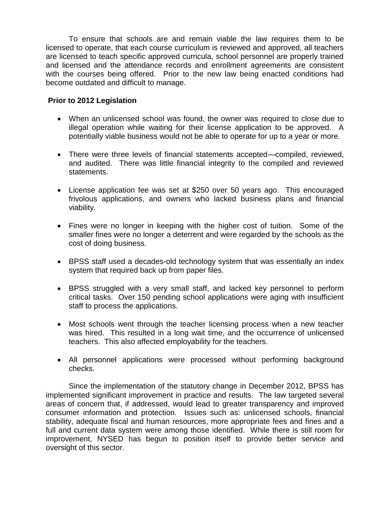To ensure that schools are and remain viable the law requires them to be licensed to operate, that each course curriculum is reviewed and approved, all teachers are licensed to teach specific approved curricula, school personnel are properly trained and licensed and the attendance records and enrollment agreements are consistent with the courses being offered. Prior to the new law being enacted conditions had become outdated and difficult to manage.

#### **Prior to 2012 Legislation**

- When an unlicensed school was found, the owner was required to close due to illegal operation while waiting for their license application to be approved. A potentially viable business would not be able to operate for up to a year or more.
- There were three levels of financial statements accepted—compiled, reviewed, and audited. There was little financial integrity to the compiled and reviewed statements.
- License application fee was set at \$250 over 50 years ago. This encouraged frivolous applications, and owners who lacked business plans and financial viability.
- Fines were no longer in keeping with the higher cost of tuition. Some of the smaller fines were no longer a deterrent and were regarded by the schools as the cost of doing business.
- BPSS staff used a decades-old technology system that was essentially an index system that required back up from paper files.
- BPSS struggled with a very small staff, and lacked key personnel to perform critical tasks. Over 150 pending school applications were aging with insufficient staff to process the applications.
- Most schools went through the teacher licensing process when a new teacher was hired. This resulted in a long wait time, and the occurrence of unlicensed teachers. This also affected employability for the teachers.
- All personnel applications were processed without performing background checks.

Since the implementation of the statutory change in December 2012, BPSS has implemented significant improvement in practice and results. The law targeted several areas of concern that, if addressed, would lead to greater transparency and improved consumer information and protection. Issues such as: unlicensed schools, financial stability, adequate fiscal and human resources, more appropriate fees and fines and a full and current data system were among those identified. While there is still room for improvement, NYSED has begun to position itself to provide better service and oversight of this sector.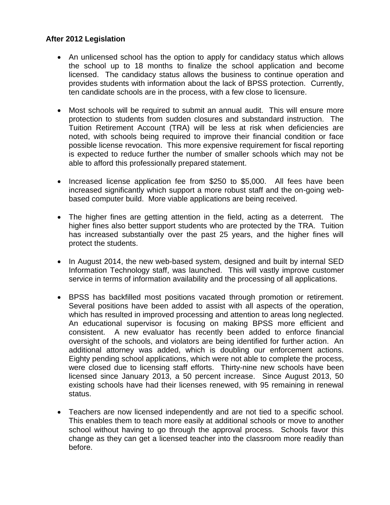### **After 2012 Legislation**

- An unlicensed school has the option to apply for candidacy status which allows the school up to 18 months to finalize the school application and become licensed. The candidacy status allows the business to continue operation and provides students with information about the lack of BPSS protection. Currently, ten candidate schools are in the process, with a few close to licensure.
- Most schools will be required to submit an annual audit. This will ensure more protection to students from sudden closures and substandard instruction. The Tuition Retirement Account (TRA) will be less at risk when deficiencies are noted, with schools being required to improve their financial condition or face possible license revocation. This more expensive requirement for fiscal reporting is expected to reduce further the number of smaller schools which may not be able to afford this professionally prepared statement.
- Increased license application fee from \$250 to \$5,000. All fees have been increased significantly which support a more robust staff and the on-going webbased computer build. More viable applications are being received.
- The higher fines are getting attention in the field, acting as a deterrent. The higher fines also better support students who are protected by the TRA. Tuition has increased substantially over the past 25 years, and the higher fines will protect the students.
- In August 2014, the new web-based system, designed and built by internal SED Information Technology staff, was launched. This will vastly improve customer service in terms of information availability and the processing of all applications.
- BPSS has backfilled most positions vacated through promotion or retirement. Several positions have been added to assist with all aspects of the operation, which has resulted in improved processing and attention to areas long neglected. An educational supervisor is focusing on making BPSS more efficient and consistent. A new evaluator has recently been added to enforce financial oversight of the schools, and violators are being identified for further action. An additional attorney was added, which is doubling our enforcement actions. Eighty pending school applications, which were not able to complete the process, were closed due to licensing staff efforts. Thirty-nine new schools have been licensed since January 2013, a 50 percent increase. Since August 2013, 50 existing schools have had their licenses renewed, with 95 remaining in renewal status.
- Teachers are now licensed independently and are not tied to a specific school. This enables them to teach more easily at additional schools or move to another school without having to go through the approval process. Schools favor this change as they can get a licensed teacher into the classroom more readily than before.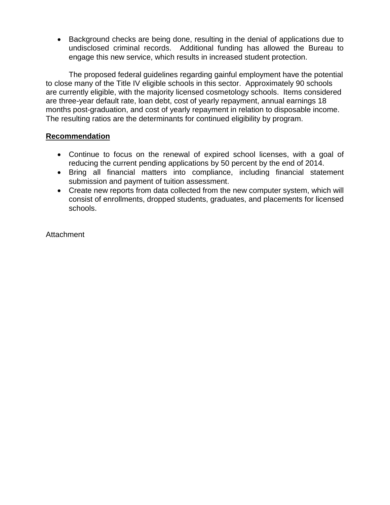Background checks are being done, resulting in the denial of applications due to undisclosed criminal records. Additional funding has allowed the Bureau to engage this new service, which results in increased student protection.

The proposed federal guidelines regarding gainful employment have the potential to close many of the Title IV eligible schools in this sector. Approximately 90 schools are currently eligible, with the majority licensed cosmetology schools. Items considered are three-year default rate, loan debt, cost of yearly repayment, annual earnings 18 months post-graduation, and cost of yearly repayment in relation to disposable income. The resulting ratios are the determinants for continued eligibility by program.

### **Recommendation**

- Continue to focus on the renewal of expired school licenses, with a goal of reducing the current pending applications by 50 percent by the end of 2014.
- Bring all financial matters into compliance, including financial statement submission and payment of tuition assessment.
- Create new reports from data collected from the new computer system, which will consist of enrollments, dropped students, graduates, and placements for licensed schools.

**Attachment**